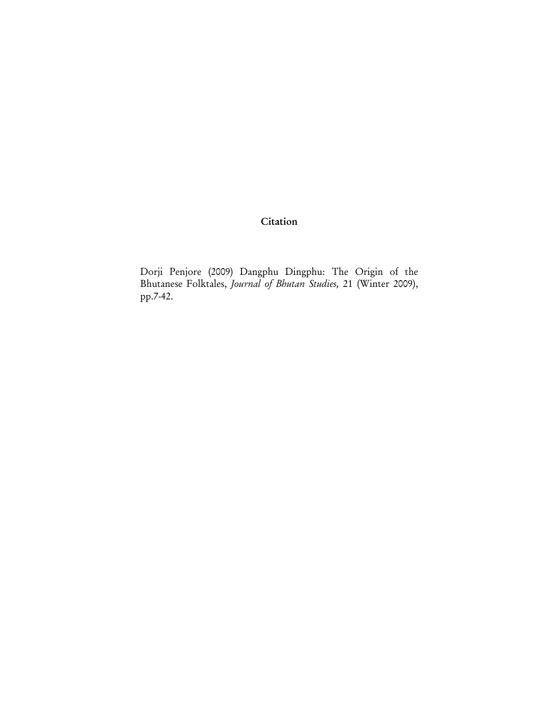**Citation** 

Dorji Penjore (2009) Dangphu Dingphu: The Origin of the Bhutanese Folktales, *Journal of Bhutan Studies,* 21 (Winter 2009), pp.7-42.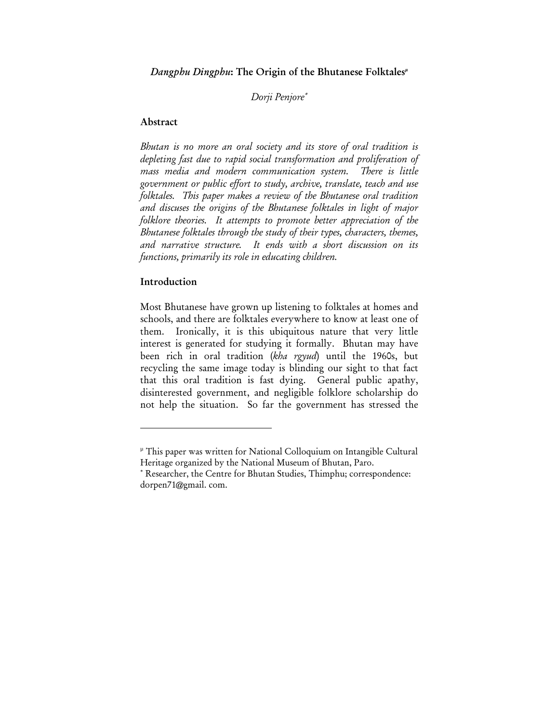*Dangphu Dingphu*: The Origin of the Bhutanese Folktales<sup>"</sup>

*Dorji Penjore*<sup>∗</sup>

#### Abstract

*Bhutan is no more an oral society and its store of oral tradition is depleting fast due to rapid social transformation and proliferation of mass media and modern communication system. There is little government or public effort to study, archive, translate, teach and use folktales. This paper makes a review of the Bhutanese oral tradition and discuses the origins of the Bhutanese folktales in light of major folklore theories. It attempts to promote better appreciation of the Bhutanese folktales through the study of their types, characters, themes, and narrative structure. It ends with a short discussion on its functions, primarily its role in educating children.* 

#### Introduction

 $\overline{a}$ 

Most Bhutanese have grown up listening to folktales at homes and schools, and there are folktales everywhere to know at least one of them. Ironically, it is this ubiquitous nature that very little interest is generated for studying it formally. Bhutan may have been rich in oral tradition (*kha rgyud*) until the 1960s, but recycling the same image today is blinding our sight to that fact that this oral tradition is fast dying. General public apathy, disinterested government, and negligible folklore scholarship do not help the situation. So far the government has stressed the

µ This paper was written for National Colloquium on Intangible Cultural Heritage organized by the National Museum of Bhutan, Paro.

<sup>∗</sup> Researcher, the Centre for Bhutan Studies, Thimphu; correspondence: dorpen71@gmail. com.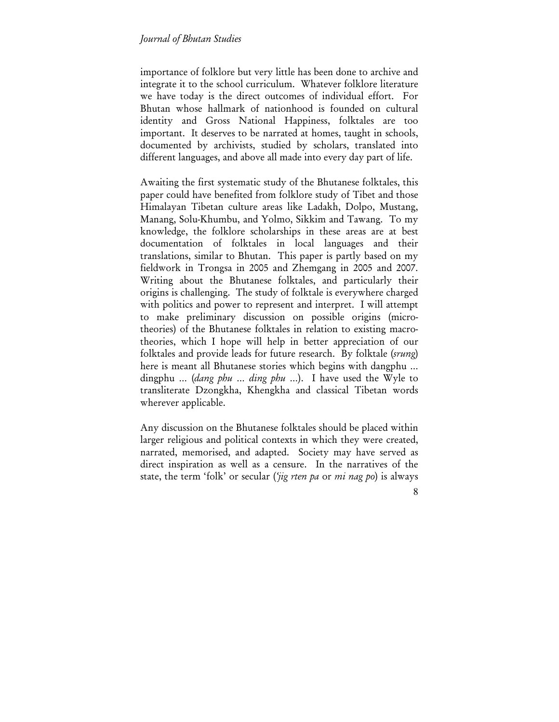importance of folklore but very little has been done to archive and integrate it to the school curriculum. Whatever folklore literature we have today is the direct outcomes of individual effort. For Bhutan whose hallmark of nationhood is founded on cultural identity and Gross National Happiness, folktales are too important. It deserves to be narrated at homes, taught in schools, documented by archivists, studied by scholars, translated into different languages, and above all made into every day part of life.

Awaiting the first systematic study of the Bhutanese folktales, this paper could have benefited from folklore study of Tibet and those Himalayan Tibetan culture areas like Ladakh, Dolpo, Mustang, Manang, Solu-Khumbu, and Yolmo, Sikkim and Tawang. To my knowledge, the folklore scholarships in these areas are at best documentation of folktales in local languages and their translations, similar to Bhutan. This paper is partly based on my fieldwork in Trongsa in 2005 and Zhemgang in 2005 and 2007. Writing about the Bhutanese folktales, and particularly their origins is challenging. The study of folktale is everywhere charged with politics and power to represent and interpret. I will attempt to make preliminary discussion on possible origins (microtheories) of the Bhutanese folktales in relation to existing macrotheories, which I hope will help in better appreciation of our folktales and provide leads for future research. By folktale (*srung*) here is meant all Bhutanese stories which begins with dangphu … dingphu … (*dang phu* … *ding phu* …). I have used the Wyle to transliterate Dzongkha, Khengkha and classical Tibetan words wherever applicable.

Any discussion on the Bhutanese folktales should be placed within larger religious and political contexts in which they were created, narrated, memorised, and adapted. Society may have served as direct inspiration as well as a censure. In the narratives of the state, the term 'folk' or secular (*'jig rten pa* or *mi nag po*) is always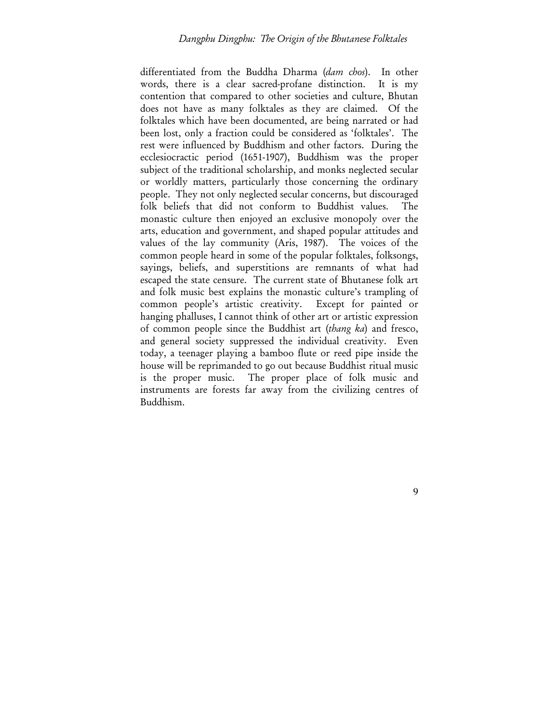differentiated from the Buddha Dharma (*dam chos*). In other words, there is a clear sacred-profane distinction. It is my contention that compared to other societies and culture, Bhutan does not have as many folktales as they are claimed. Of the folktales which have been documented, are being narrated or had been lost, only a fraction could be considered as 'folktales'. The rest were influenced by Buddhism and other factors. During the ecclesiocractic period (1651-1907), Buddhism was the proper subject of the traditional scholarship, and monks neglected secular or worldly matters, particularly those concerning the ordinary people. They not only neglected secular concerns, but discouraged folk beliefs that did not conform to Buddhist values. The monastic culture then enjoyed an exclusive monopoly over the arts, education and government, and shaped popular attitudes and values of the lay community (Aris, 1987). The voices of the common people heard in some of the popular folktales, folksongs, sayings, beliefs, and superstitions are remnants of what had escaped the state censure. The current state of Bhutanese folk art and folk music best explains the monastic culture's trampling of common people's artistic creativity. Except for painted or hanging phalluses, I cannot think of other art or artistic expression of common people since the Buddhist art (*thang ka*) and fresco, and general society suppressed the individual creativity. Even today, a teenager playing a bamboo flute or reed pipe inside the house will be reprimanded to go out because Buddhist ritual music is the proper music. The proper place of folk music and instruments are forests far away from the civilizing centres of Buddhism.

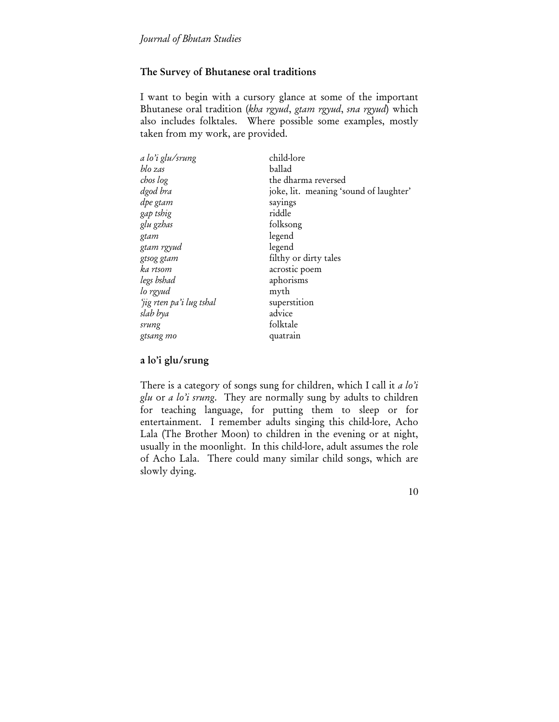## The Survey of Bhutanese oral traditions

I want to begin with a cursory glance at some of the important Bhutanese oral tradition (*kha rgyud*, *gtam rgyud*, *sna rgyud*) which also includes folktales. Where possible some examples, mostly taken from my work, are provided.

| a lo'i glu/srung         | child-lore                             |
|--------------------------|----------------------------------------|
| blo zas                  | ballad                                 |
| chos log                 | the dharma reversed                    |
| dgod bra                 | joke, lit. meaning 'sound of laughter' |
| dpe gtam                 | sayings                                |
| gap tshig                | riddle                                 |
| glu gzhas                | folksong                               |
| gtam                     | legend                                 |
| gtam rgyud               | legend                                 |
| gtsog gtam               | filthy or dirty tales                  |
| ka rtsom                 | acrostic poem                          |
| legs bshad               | aphorisms                              |
| lo rgyud                 | myth                                   |
| 'jig rten pa'i lug tshal | superstition                           |
| slab bya                 | advice                                 |
| srung                    | folktale                               |
| gtsang mo                | quatrain                               |

## a lo'i glu/srung

There is a category of songs sung for children, which I call it *a lo'i glu* or *a lo'i srung*. They are normally sung by adults to children for teaching language, for putting them to sleep or for entertainment. I remember adults singing this child-lore, Acho Lala (The Brother Moon) to children in the evening or at night, usually in the moonlight. In this child-lore, adult assumes the role of Acho Lala. There could many similar child songs, which are slowly dying.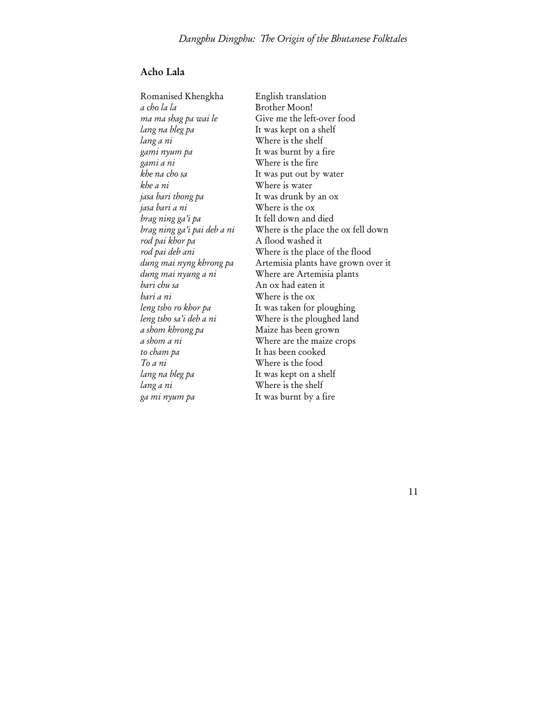# Acho Lala

*a cho la la* Brother Moon! *lang na bleg pa* It was kept on a shelf *lang a ni* Where is the shelf *gami nyum pa* It was burnt by a fire *gami a ni* Where is the fire *khe a ni* Where is water *jasa bari thong pa* It was drunk by an ox *jasa bari a ni* Where is the ox *brag ning ga'i pa* It fell down and died *rod pai khor pa* A flood washed it *bari chu sa* An ox had eaten it *bari a ni* Where is the ox *a shom khrong pa* Maize has been grown *to cham pa* It has been cooked *To a ni* Where is the food *lang na bleg pa* It was kept on a shelf *lang a ni* Where is the shelf

Romanised Khengkha English translation *ma ma shag pa wai le* Give me the left-over food *khe na cho sa* It was put out by water *brag ning ga'i pai deb a ni* Where is the place the ox fell down *rod pai deb ani* Where is the place of the flood *dung mai nyng khrong pa* Artemisia plants have grown over it *dung mai nyung a ni* Where are Artemisia plants *leng tsho ro khor pa* It was taken for ploughing *leng tsho sa'i deb a ni* Where is the ploughed land *a shom a ni* Where are the maize crops *ga mi nyum pa* It was burnt by a fire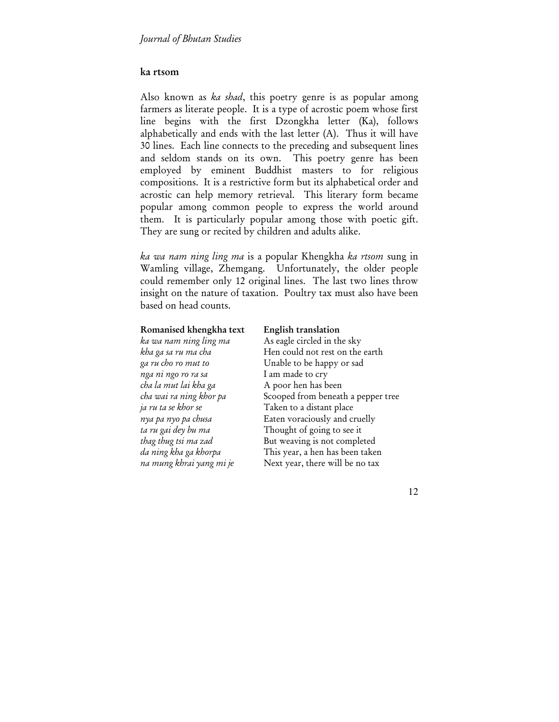#### ka rtsom

Also known as *ka shad*, this poetry genre is as popular among farmers as literate people. It is a type of acrostic poem whose first line begins with the first Dzongkha letter (Ka), follows alphabetically and ends with the last letter (A). Thus it will have 30 lines. Each line connects to the preceding and subsequent lines and seldom stands on its own. This poetry genre has been employed by eminent Buddhist masters to for religious compositions. It is a restrictive form but its alphabetical order and acrostic can help memory retrieval. This literary form became popular among common people to express the world around them. It is particularly popular among those with poetic gift. They are sung or recited by children and adults alike.

*ka wa nam ning ling ma* is a popular Khengkha *ka rtsom* sung in Wamling village, Zhemgang. Unfortunately, the older people could remember only 12 original lines. The last two lines throw insight on the nature of taxation. Poultry tax must also have been based on head counts.

#### Romanised khengkha text English translation

## *ka wa nam ning ling ma* As eagle circled in the sky *kha ga sa ru ma cha* **Hen could not rest on the earth** *ga ru cho ro mut to* Unable to be happy or sad *nga ni ngo ro ra sa* I am made to cry *cha la mut lai kha ga* A poor hen has been *cha wai ra ning khor pa* Scooped from beneath a pepper tree *ja ru ta se khor se* Taken to a distant place *nya pa nyo pa chusa* **Eaten voraciously and cruelly** *ta ru gai dey bu ma* Thought of going to see it *thag thug tsi ma zad* But weaving is not completed *da ning kha ga khorpa* This year, a hen has been taken *na mung khrai yang mi je* Next year, there will be no tax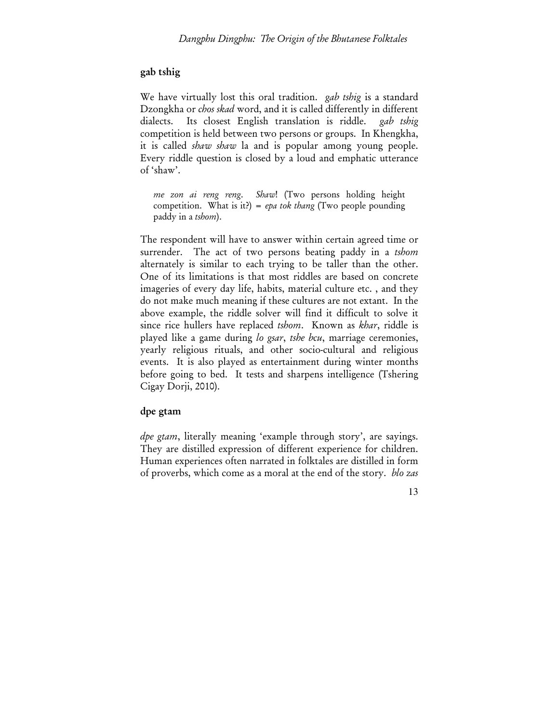### gab tshig

We have virtually lost this oral tradition. *gab tshig* is a standard Dzongkha or *chos skad* word, and it is called differently in different dialects. Its closest English translation is riddle. *gab tshig* competition is held between two persons or groups. In Khengkha, it is called *shaw shaw* la and is popular among young people. Every riddle question is closed by a loud and emphatic utterance of 'shaw'.

*me zon ai reng reng*. *Shaw*! (Two persons holding height competition. What is it?) = *epa tok thang* (Two people pounding paddy in a *tshom*).

The respondent will have to answer within certain agreed time or surrender. The act of two persons beating paddy in a *tshom* alternately is similar to each trying to be taller than the other. One of its limitations is that most riddles are based on concrete imageries of every day life, habits, material culture etc. , and they do not make much meaning if these cultures are not extant. In the above example, the riddle solver will find it difficult to solve it since rice hullers have replaced *tshom*. Known as *khar*, riddle is played like a game during *lo gsar*, *tshe bcu*, marriage ceremonies, yearly religious rituals, and other socio-cultural and religious events. It is also played as entertainment during winter months before going to bed. It tests and sharpens intelligence (Tshering Cigay Dorji, 2010).

## dpe gtam

*dpe gtam*, literally meaning 'example through story', are sayings. They are distilled expression of different experience for children. Human experiences often narrated in folktales are distilled in form of proverbs, which come as a moral at the end of the story. *blo zas*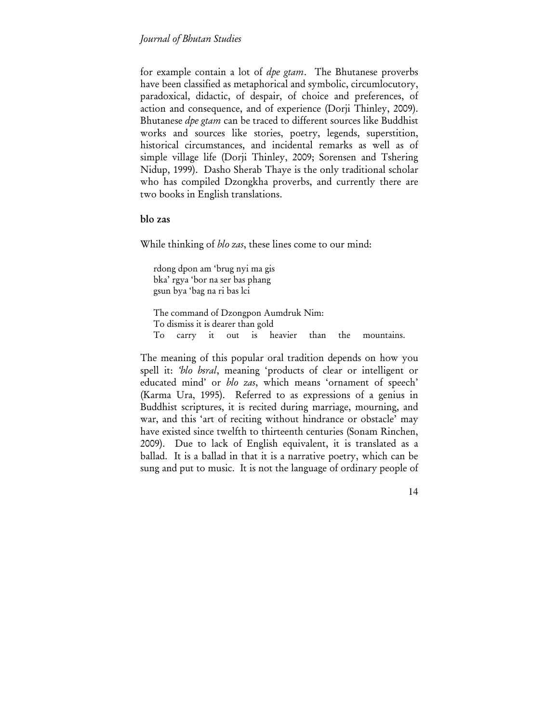for example contain a lot of *dpe gtam*. The Bhutanese proverbs have been classified as metaphorical and symbolic, circumlocutory, paradoxical, didactic, of despair, of choice and preferences, of action and consequence, and of experience (Dorji Thinley, 2009). Bhutanese *dpe gtam* can be traced to different sources like Buddhist works and sources like stories, poetry, legends, superstition, historical circumstances, and incidental remarks as well as of simple village life (Dorji Thinley, 2009; Sorensen and Tshering Nidup, 1999). Dasho Sherab Thaye is the only traditional scholar who has compiled Dzongkha proverbs, and currently there are two books in English translations.

#### blo zas

While thinking of *blo zas*, these lines come to our mind:

rdong dpon am 'brug nyi ma gis bka' rgya 'bor na ser bas phang gsun bya 'bag na ri bas lci

The command of Dzongpon Aumdruk Nim: To dismiss it is dearer than gold To carry it out is heavier than the mountains.

The meaning of this popular oral tradition depends on how you spell it: *'blo bsral*, meaning 'products of clear or intelligent or educated mind' or *blo zas*, which means 'ornament of speech' (Karma Ura, 1995). Referred to as expressions of a genius in Buddhist scriptures, it is recited during marriage, mourning, and war, and this 'art of reciting without hindrance or obstacle' may have existed since twelfth to thirteenth centuries (Sonam Rinchen, 2009). Due to lack of English equivalent, it is translated as a ballad. It is a ballad in that it is a narrative poetry, which can be sung and put to music. It is not the language of ordinary people of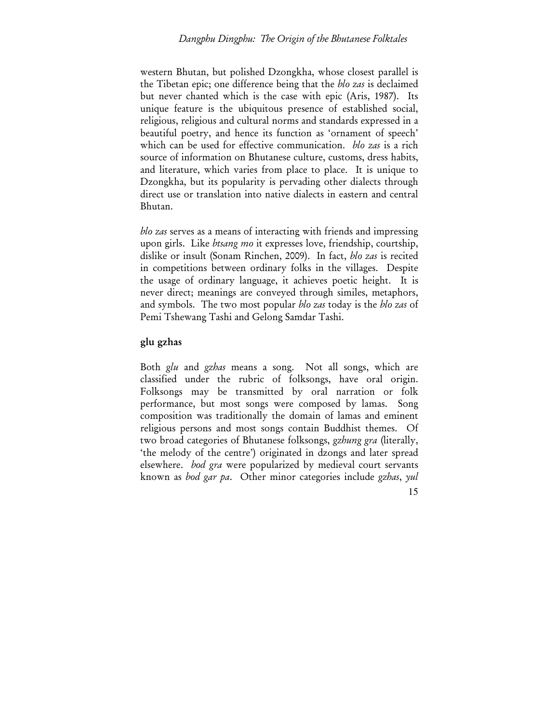#### *Dangphu Dingphu: The Origin of the Bhutanese Folktales*

western Bhutan, but polished Dzongkha, whose closest parallel is the Tibetan epic; one difference being that the *blo zas* is declaimed but never chanted which is the case with epic (Aris, 1987). Its unique feature is the ubiquitous presence of established social, religious, religious and cultural norms and standards expressed in a beautiful poetry, and hence its function as 'ornament of speech' which can be used for effective communication. *blo zas* is a rich source of information on Bhutanese culture, customs, dress habits, and literature, which varies from place to place. It is unique to Dzongkha, but its popularity is pervading other dialects through direct use or translation into native dialects in eastern and central Bhutan.

*blo zas* serves as a means of interacting with friends and impressing upon girls. Like *btsang mo* it expresses love, friendship, courtship, dislike or insult (Sonam Rinchen, 2009). In fact, *blo zas* is recited in competitions between ordinary folks in the villages. Despite the usage of ordinary language, it achieves poetic height. It is never direct; meanings are conveyed through similes, metaphors, and symbols. The two most popular *blo zas* today is the *blo zas* of Pemi Tshewang Tashi and Gelong Samdar Tashi.

### glu gzhas

15 Both *glu* and *gzhas* means a song. Not all songs, which are classified under the rubric of folksongs, have oral origin. Folksongs may be transmitted by oral narration or folk performance, but most songs were composed by lamas. Song composition was traditionally the domain of lamas and eminent religious persons and most songs contain Buddhist themes. Of two broad categories of Bhutanese folksongs, *gzhung gra* (literally, 'the melody of the centre') originated in dzongs and later spread elsewhere. *bod gra* were popularized by medieval court servants known as *bod gar pa*. Other minor categories include *gzhas*, *yul*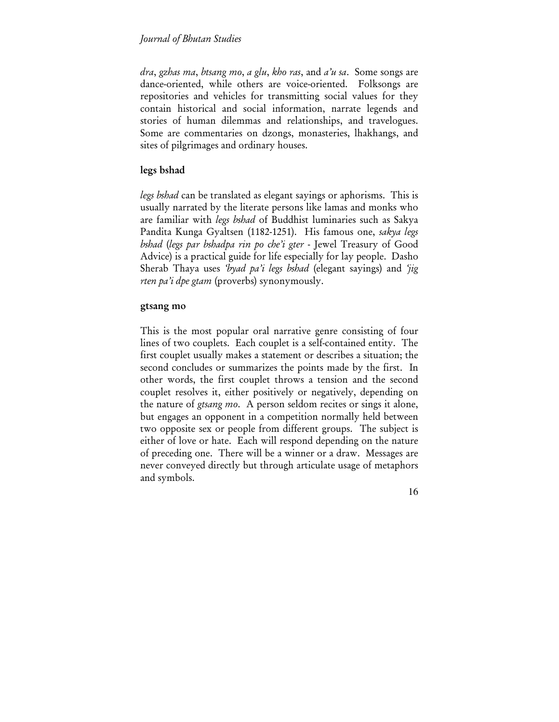*dra*, *gzhas ma*, *btsang mo*, *a glu*, *kho ras*, and *a'u sa*. Some songs are dance-oriented, while others are voice-oriented. Folksongs are repositories and vehicles for transmitting social values for they contain historical and social information, narrate legends and stories of human dilemmas and relationships, and travelogues. Some are commentaries on dzongs, monasteries, lhakhangs, and sites of pilgrimages and ordinary houses.

### legs bshad

*legs bshad* can be translated as elegant sayings or aphorisms. This is usually narrated by the literate persons like lamas and monks who are familiar with *legs bshad* of Buddhist luminaries such as Sakya Pandita Kunga Gyaltsen (1182-1251). His famous one, *sakya legs bshad* (*legs par bshadpa rin po che'i gter* - Jewel Treasury of Good Advice) is a practical guide for life especially for lay people. Dasho Sherab Thaya uses *'byad pa'i legs bshad* (elegant sayings) and *'jig rten pa'i dpe gtam* (proverbs) synonymously.

#### gtsang mo

This is the most popular oral narrative genre consisting of four lines of two couplets. Each couplet is a self-contained entity. The first couplet usually makes a statement or describes a situation; the second concludes or summarizes the points made by the first. In other words, the first couplet throws a tension and the second couplet resolves it, either positively or negatively, depending on the nature of *gtsang mo*. A person seldom recites or sings it alone, but engages an opponent in a competition normally held between two opposite sex or people from different groups. The subject is either of love or hate. Each will respond depending on the nature of preceding one. There will be a winner or a draw. Messages are never conveyed directly but through articulate usage of metaphors and symbols.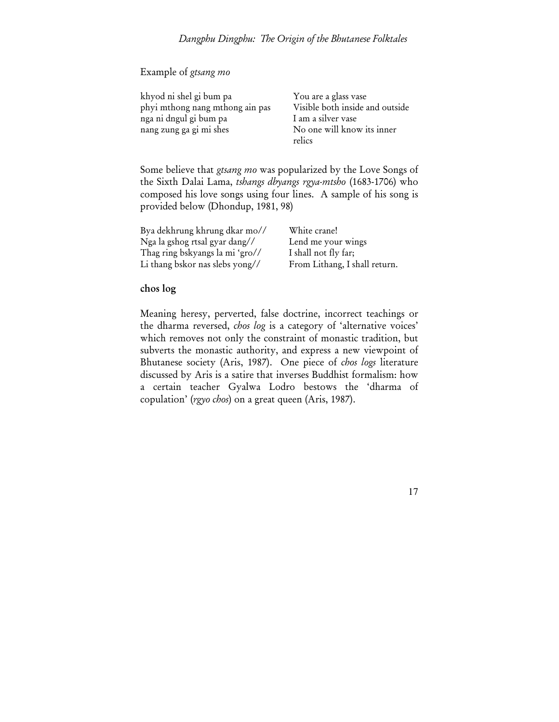## Example of *gtsang mo*

| khyod ni shel gi bum pa         |
|---------------------------------|
| phyi mthong nang mthong ain pas |
| nga ni dngul gi bum pa          |
| nang zung ga gi mi shes         |

You are a glass vase Visible both inside and outside Lam a silver vase No one will know its inner relics

17

Some believe that *gtsang mo* was popularized by the Love Songs of the Sixth Dalai Lama, *tshangs dbyangs rgya-mtsho* (1683-1706) who composed his love songs using four lines. A sample of his song is provided below (Dhondup, 1981, 98)

| Bya dekhrung khrung dkar mo//   | White crane!                  |
|---------------------------------|-------------------------------|
| Nga la gshog rtsal gyar dang//  | Lend me your wings            |
| Thag ring bskyangs la mi 'gro// | I shall not fly far;          |
| Li thang bskor nas slebs yong// | From Lithang, I shall return. |

#### chos log

Meaning heresy, perverted, false doctrine, incorrect teachings or the dharma reversed, *chos log* is a category of 'alternative voices' which removes not only the constraint of monastic tradition, but subverts the monastic authority, and express a new viewpoint of Bhutanese society (Aris, 1987). One piece of *chos logs* literature discussed by Aris is a satire that inverses Buddhist formalism: how a certain teacher Gyalwa Lodro bestows the 'dharma of copulation' (*rgyo chos*) on a great queen (Aris, 1987).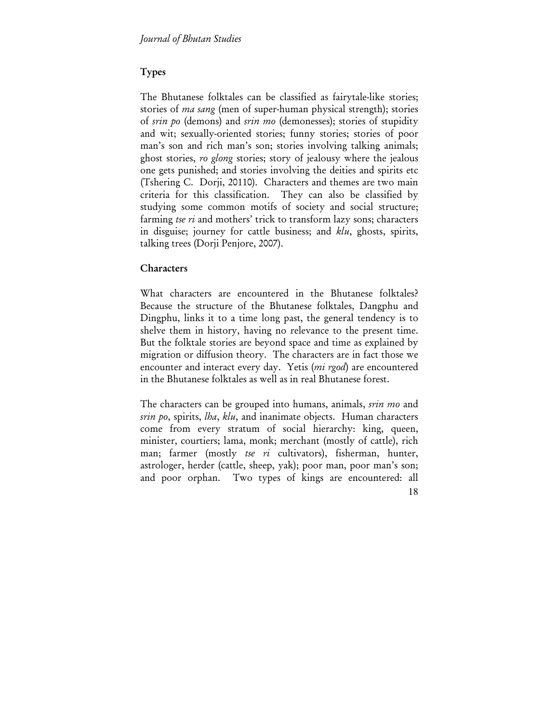# Types

The Bhutanese folktales can be classified as fairytale-like stories; stories of *ma sang* (men of super-human physical strength); stories of *srin po* (demons) and *srin mo* (demonesses); stories of stupidity and wit; sexually-oriented stories; funny stories; stories of poor man's son and rich man's son; stories involving talking animals; ghost stories, *ro glong* stories; story of jealousy where the jealous one gets punished; and stories involving the deities and spirits etc (Tshering C. Dorji, 20110). Characters and themes are two main criteria for this classification. They can also be classified by studying some common motifs of society and social structure; farming *tse ri* and mothers' trick to transform lazy sons; characters in disguise; journey for cattle business; and *klu*, ghosts, spirits, talking trees (Dorji Penjore, 2007).

## Characters

What characters are encountered in the Bhutanese folktales? Because the structure of the Bhutanese folktales, Dangphu and Dingphu, links it to a time long past, the general tendency is to shelve them in history, having no relevance to the present time. But the folktale stories are beyond space and time as explained by migration or diffusion theory. The characters are in fact those we encounter and interact every day. Yetis (*mi rgod*) are encountered in the Bhutanese folktales as well as in real Bhutanese forest.

The characters can be grouped into humans, animals, *srin mo* and *srin po*, spirits, *lha*, *klu*, and inanimate objects. Human characters come from every stratum of social hierarchy: king, queen, minister, courtiers; lama, monk; merchant (mostly of cattle), rich man; farmer (mostly *tse ri* cultivators), fisherman, hunter, astrologer, herder (cattle, sheep, yak); poor man, poor man's son; and poor orphan. Two types of kings are encountered: all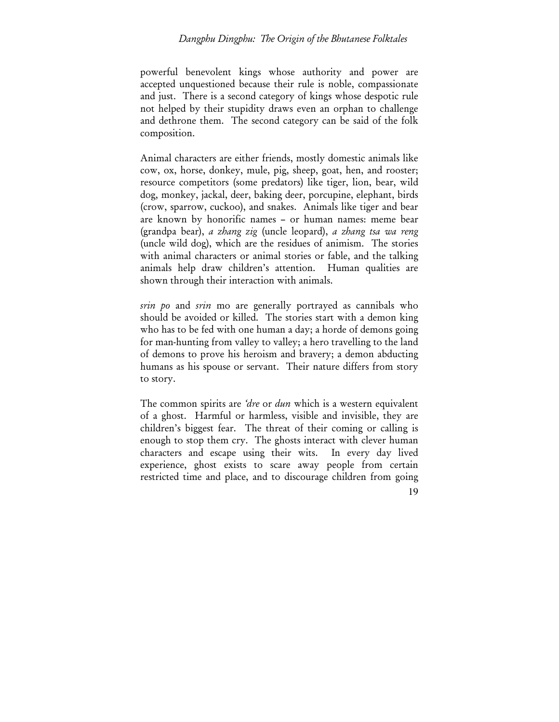### *Dangphu Dingphu: The Origin of the Bhutanese Folktales*

powerful benevolent kings whose authority and power are accepted unquestioned because their rule is noble, compassionate and just. There is a second category of kings whose despotic rule not helped by their stupidity draws even an orphan to challenge and dethrone them. The second category can be said of the folk composition.

Animal characters are either friends, mostly domestic animals like cow, ox, horse, donkey, mule, pig, sheep, goat, hen, and rooster; resource competitors (some predators) like tiger, lion, bear, wild dog, monkey, jackal, deer, baking deer, porcupine, elephant, birds (crow, sparrow, cuckoo), and snakes. Animals like tiger and bear are known by honorific names – or human names: meme bear (grandpa bear), *a zhang zig* (uncle leopard), *a zhang tsa wa reng* (uncle wild dog), which are the residues of animism. The stories with animal characters or animal stories or fable, and the talking animals help draw children's attention. Human qualities are shown through their interaction with animals.

*srin po* and *srin* mo are generally portrayed as cannibals who should be avoided or killed. The stories start with a demon king who has to be fed with one human a day; a horde of demons going for man-hunting from valley to valley; a hero travelling to the land of demons to prove his heroism and bravery; a demon abducting humans as his spouse or servant. Their nature differs from story to story.

19 The common spirits are *'dre* or *dun* which is a western equivalent of a ghost. Harmful or harmless, visible and invisible, they are children's biggest fear. The threat of their coming or calling is enough to stop them cry. The ghosts interact with clever human characters and escape using their wits. In every day lived experience, ghost exists to scare away people from certain restricted time and place, and to discourage children from going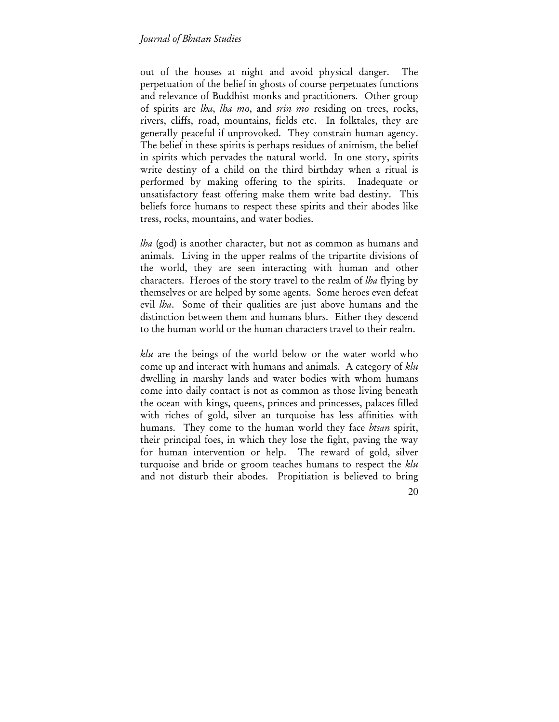out of the houses at night and avoid physical danger. perpetuation of the belief in ghosts of course perpetuates functions and relevance of Buddhist monks and practitioners. Other group of spirits are *lha*, *lha mo*, and *srin mo* residing on trees, rocks, rivers, cliffs, road, mountains, fields etc. In folktales, they are generally peaceful if unprovoked. They constrain human agency. The belief in these spirits is perhaps residues of animism, the belief in spirits which pervades the natural world. In one story, spirits write destiny of a child on the third birthday when a ritual is performed by making offering to the spirits. Inadequate or unsatisfactory feast offering make them write bad destiny. This beliefs force humans to respect these spirits and their abodes like tress, rocks, mountains, and water bodies.

*lha* (god) is another character, but not as common as humans and animals. Living in the upper realms of the tripartite divisions of the world, they are seen interacting with human and other characters. Heroes of the story travel to the realm of *lha* flying by themselves or are helped by some agents. Some heroes even defeat evil *lha*. Some of their qualities are just above humans and the distinction between them and humans blurs. Either they descend to the human world or the human characters travel to their realm.

*klu* are the beings of the world below or the water world who come up and interact with humans and animals. A category of *klu* dwelling in marshy lands and water bodies with whom humans come into daily contact is not as common as those living beneath the ocean with kings, queens, princes and princesses, palaces filled with riches of gold, silver an turquoise has less affinities with humans. They come to the human world they face *btsan* spirit, their principal foes, in which they lose the fight, paving the way for human intervention or help. The reward of gold, silver turquoise and bride or groom teaches humans to respect the *klu* and not disturb their abodes. Propitiation is believed to bring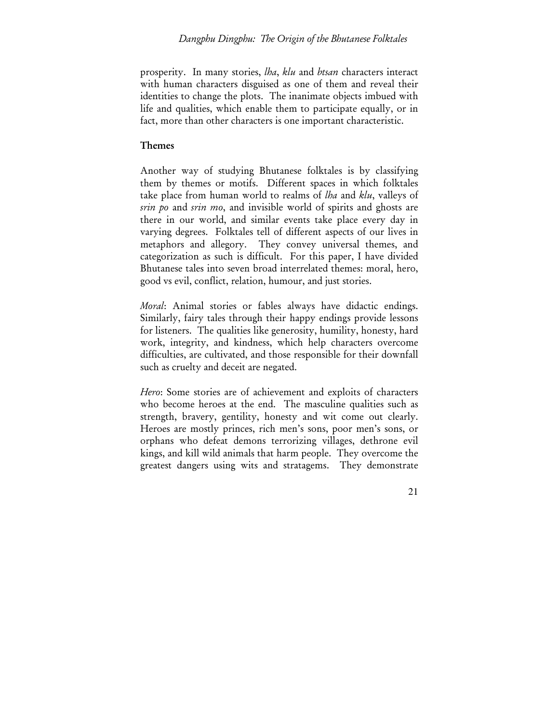prosperity. In many stories, *lha*, *klu* and *btsan* characters interact with human characters disguised as one of them and reveal their identities to change the plots. The inanimate objects imbued with life and qualities, which enable them to participate equally, or in fact, more than other characters is one important characteristic.

## Themes

Another way of studying Bhutanese folktales is by classifying them by themes or motifs. Different spaces in which folktales take place from human world to realms of *lha* and *klu*, valleys of *srin po* and *srin mo*, and invisible world of spirits and ghosts are there in our world, and similar events take place every day in varying degrees. Folktales tell of different aspects of our lives in metaphors and allegory. They convey universal themes, and categorization as such is difficult. For this paper, I have divided Bhutanese tales into seven broad interrelated themes: moral, hero, good vs evil, conflict, relation, humour, and just stories.

*Moral*: Animal stories or fables always have didactic endings. Similarly, fairy tales through their happy endings provide lessons for listeners. The qualities like generosity, humility, honesty, hard work, integrity, and kindness, which help characters overcome difficulties, are cultivated, and those responsible for their downfall such as cruelty and deceit are negated.

*Hero*: Some stories are of achievement and exploits of characters who become heroes at the end. The masculine qualities such as strength, bravery, gentility, honesty and wit come out clearly. Heroes are mostly princes, rich men's sons, poor men's sons, or orphans who defeat demons terrorizing villages, dethrone evil kings, and kill wild animals that harm people. They overcome the greatest dangers using wits and stratagems. They demonstrate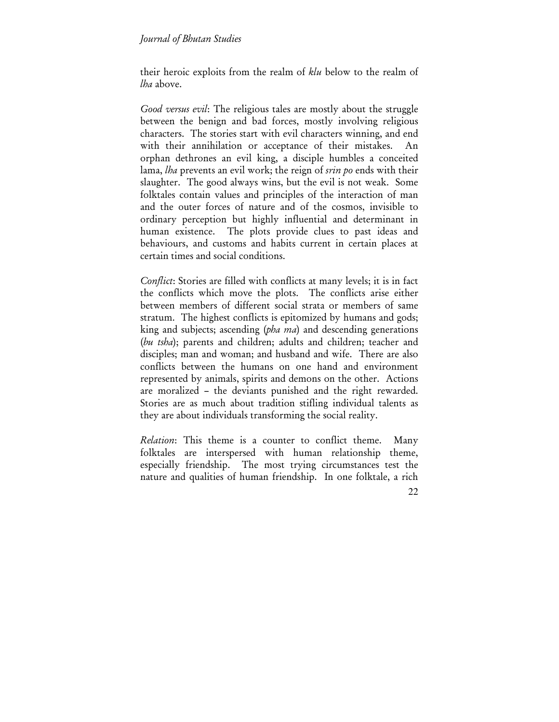their heroic exploits from the realm of *klu* below to the realm of *lha* above.

*Good versus evil*: The religious tales are mostly about the struggle between the benign and bad forces, mostly involving religious characters. The stories start with evil characters winning, and end with their annihilation or acceptance of their mistakes. An orphan dethrones an evil king, a disciple humbles a conceited lama, *lha* prevents an evil work; the reign of *srin po* ends with their slaughter. The good always wins, but the evil is not weak. Some folktales contain values and principles of the interaction of man and the outer forces of nature and of the cosmos, invisible to ordinary perception but highly influential and determinant in human existence. The plots provide clues to past ideas and behaviours, and customs and habits current in certain places at certain times and social conditions.

*Conflict*: Stories are filled with conflicts at many levels; it is in fact the conflicts which move the plots. The conflicts arise either between members of different social strata or members of same stratum. The highest conflicts is epitomized by humans and gods; king and subjects; ascending (*pha ma*) and descending generations (*bu tsha*); parents and children; adults and children; teacher and disciples; man and woman; and husband and wife. There are also conflicts between the humans on one hand and environment represented by animals, spirits and demons on the other. Actions are moralized – the deviants punished and the right rewarded. Stories are as much about tradition stifling individual talents as they are about individuals transforming the social reality.

*Relation*: This theme is a counter to conflict theme. Many folktales are interspersed with human relationship theme, especially friendship. The most trying circumstances test the nature and qualities of human friendship. In one folktale, a rich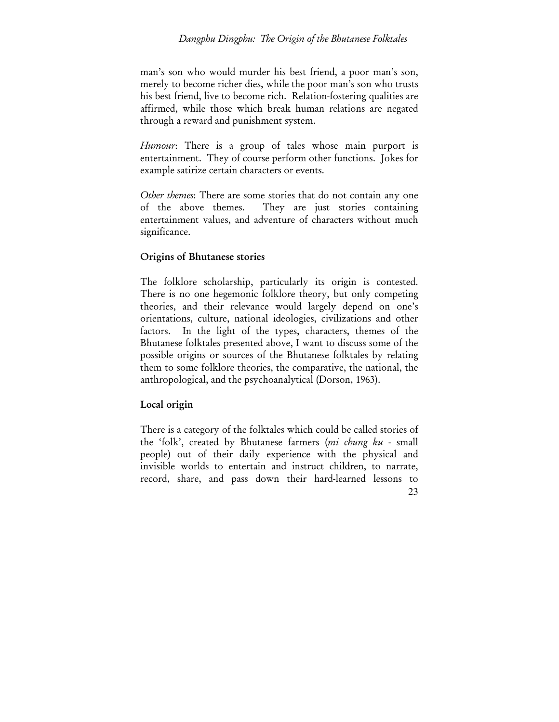### *Dangphu Dingphu: The Origin of the Bhutanese Folktales*

man's son who would murder his best friend, a poor man's son, merely to become richer dies, while the poor man's son who trusts his best friend, live to become rich. Relation-fostering qualities are affirmed, while those which break human relations are negated through a reward and punishment system.

*Humour*: There is a group of tales whose main purport is entertainment. They of course perform other functions. Jokes for example satirize certain characters or events.

*Other themes*: There are some stories that do not contain any one of the above themes. They are just stories containing entertainment values, and adventure of characters without much significance.

### Origins of Bhutanese stories

The folklore scholarship, particularly its origin is contested. There is no one hegemonic folklore theory, but only competing theories, and their relevance would largely depend on one's orientations, culture, national ideologies, civilizations and other factors. In the light of the types, characters, themes of the Bhutanese folktales presented above, I want to discuss some of the possible origins or sources of the Bhutanese folktales by relating them to some folklore theories, the comparative, the national, the anthropological, and the psychoanalytical (Dorson, 1963).

## Local origin

23 There is a category of the folktales which could be called stories of the 'folk', created by Bhutanese farmers (*mi chung ku* - small people) out of their daily experience with the physical and invisible worlds to entertain and instruct children, to narrate, record, share, and pass down their hard-learned lessons to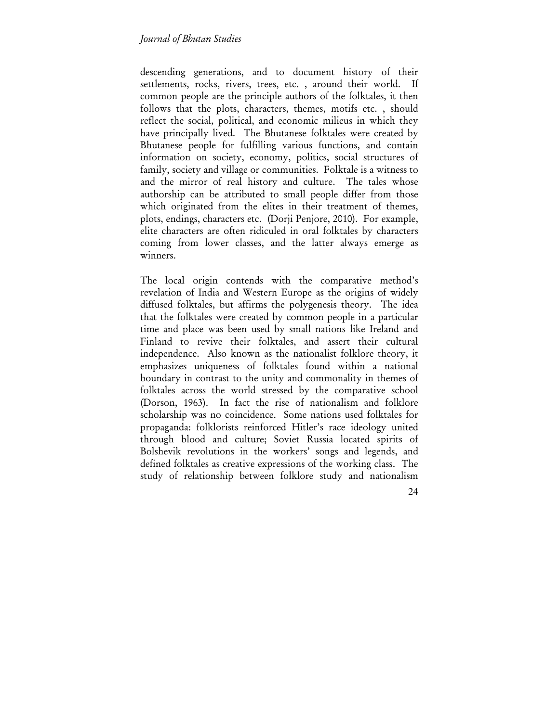descending generations, and to document history of their settlements, rocks, rivers, trees, etc. , around their world. If common people are the principle authors of the folktales, it then follows that the plots, characters, themes, motifs etc. , should reflect the social, political, and economic milieus in which they have principally lived. The Bhutanese folktales were created by Bhutanese people for fulfilling various functions, and contain information on society, economy, politics, social structures of family, society and village or communities. Folktale is a witness to and the mirror of real history and culture. The tales whose authorship can be attributed to small people differ from those which originated from the elites in their treatment of themes, plots, endings, characters etc. (Dorji Penjore, 2010). For example, elite characters are often ridiculed in oral folktales by characters coming from lower classes, and the latter always emerge as winners.

The local origin contends with the comparative method's revelation of India and Western Europe as the origins of widely diffused folktales, but affirms the polygenesis theory. The idea that the folktales were created by common people in a particular time and place was been used by small nations like Ireland and Finland to revive their folktales, and assert their cultural independence. Also known as the nationalist folklore theory, it emphasizes uniqueness of folktales found within a national boundary in contrast to the unity and commonality in themes of folktales across the world stressed by the comparative school (Dorson, 1963). In fact the rise of nationalism and folklore scholarship was no coincidence. Some nations used folktales for propaganda: folklorists reinforced Hitler's race ideology united through blood and culture; Soviet Russia located spirits of Bolshevik revolutions in the workers' songs and legends, and defined folktales as creative expressions of the working class. The study of relationship between folklore study and nationalism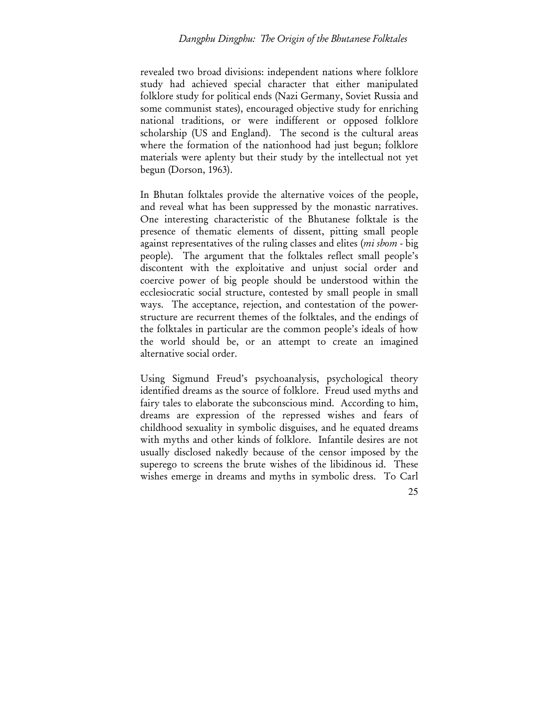revealed two broad divisions: independent nations where folklore study had achieved special character that either manipulated folklore study for political ends (Nazi Germany, Soviet Russia and some communist states), encouraged objective study for enriching national traditions, or were indifferent or opposed folklore scholarship (US and England). The second is the cultural areas where the formation of the nationhood had just begun; folklore materials were aplenty but their study by the intellectual not yet begun (Dorson, 1963).

In Bhutan folktales provide the alternative voices of the people, and reveal what has been suppressed by the monastic narratives. One interesting characteristic of the Bhutanese folktale is the presence of thematic elements of dissent, pitting small people against representatives of the ruling classes and elites (*mi sbom* - big people). The argument that the folktales reflect small people's discontent with the exploitative and unjust social order and coercive power of big people should be understood within the ecclesiocratic social structure, contested by small people in small ways. The acceptance, rejection, and contestation of the powerstructure are recurrent themes of the folktales, and the endings of the folktales in particular are the common people's ideals of how the world should be, or an attempt to create an imagined alternative social order.

Using Sigmund Freud's psychoanalysis, psychological theory identified dreams as the source of folklore. Freud used myths and fairy tales to elaborate the subconscious mind. According to him, dreams are expression of the repressed wishes and fears of childhood sexuality in symbolic disguises, and he equated dreams with myths and other kinds of folklore. Infantile desires are not usually disclosed nakedly because of the censor imposed by the superego to screens the brute wishes of the libidinous id. These wishes emerge in dreams and myths in symbolic dress. To Carl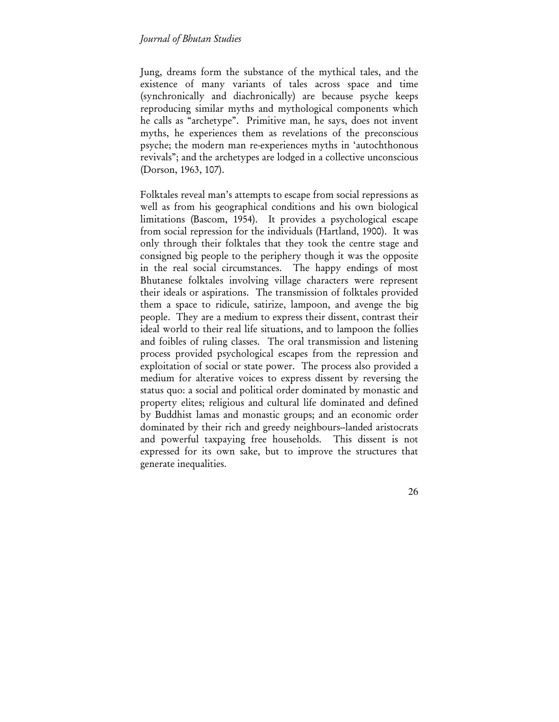Jung, dreams form the substance of the mythical tales, and the existence of many variants of tales across space and time (synchronically and diachronically) are because psyche keeps reproducing similar myths and mythological components which he calls as "archetype". Primitive man, he says, does not invent myths, he experiences them as revelations of the preconscious psyche; the modern man re-experiences myths in 'autochthonous revivals"; and the archetypes are lodged in a collective unconscious (Dorson, 1963, 107).

Folktales reveal man's attempts to escape from social repressions as well as from his geographical conditions and his own biological limitations (Bascom, 1954). It provides a psychological escape from social repression for the individuals (Hartland, 1900). It was only through their folktales that they took the centre stage and consigned big people to the periphery though it was the opposite in the real social circumstances. The happy endings of most Bhutanese folktales involving village characters were represent their ideals or aspirations. The transmission of folktales provided them a space to ridicule, satirize, lampoon, and avenge the big people. They are a medium to express their dissent, contrast their ideal world to their real life situations, and to lampoon the follies and foibles of ruling classes. The oral transmission and listening process provided psychological escapes from the repression and exploitation of social or state power. The process also provided a medium for alterative voices to express dissent by reversing the status quo: a social and political order dominated by monastic and property elites; religious and cultural life dominated and defined by Buddhist lamas and monastic groups; and an economic order dominated by their rich and greedy neighbours--landed aristocrats and powerful taxpaying free households. This dissent is not expressed for its own sake, but to improve the structures that generate inequalities.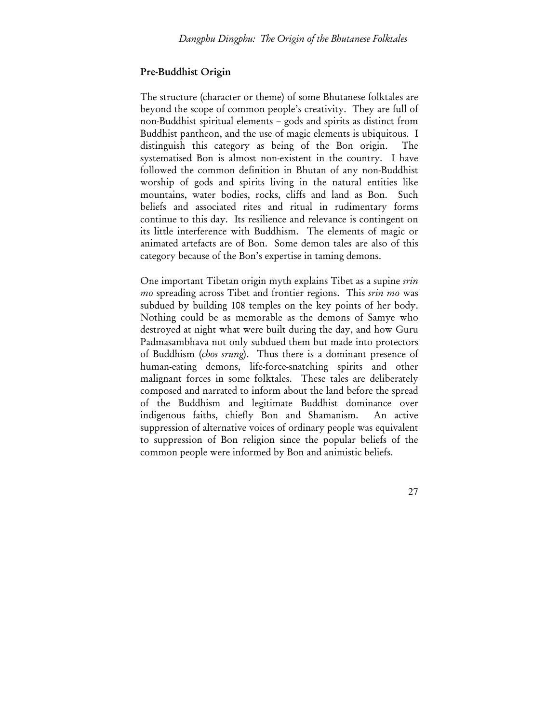#### Pre-Buddhist Origin

The structure (character or theme) of some Bhutanese folktales are beyond the scope of common people's creativity. They are full of non-Buddhist spiritual elements – gods and spirits as distinct from Buddhist pantheon, and the use of magic elements is ubiquitous. I distinguish this category as being of the Bon origin. The systematised Bon is almost non-existent in the country. I have followed the common definition in Bhutan of any non-Buddhist worship of gods and spirits living in the natural entities like mountains, water bodies, rocks, cliffs and land as Bon. Such beliefs and associated rites and ritual in rudimentary forms continue to this day. Its resilience and relevance is contingent on its little interference with Buddhism. The elements of magic or animated artefacts are of Bon. Some demon tales are also of this category because of the Bon's expertise in taming demons.

One important Tibetan origin myth explains Tibet as a supine *srin mo* spreading across Tibet and frontier regions. This *srin mo* was subdued by building 108 temples on the key points of her body. Nothing could be as memorable as the demons of Samye who destroyed at night what were built during the day, and how Guru Padmasambhava not only subdued them but made into protectors of Buddhism (*chos srung*). Thus there is a dominant presence of human-eating demons, life-force-snatching spirits and other malignant forces in some folktales. These tales are deliberately composed and narrated to inform about the land before the spread of the Buddhism and legitimate Buddhist dominance over indigenous faiths, chiefly Bon and Shamanism. An active suppression of alternative voices of ordinary people was equivalent to suppression of Bon religion since the popular beliefs of the common people were informed by Bon and animistic beliefs.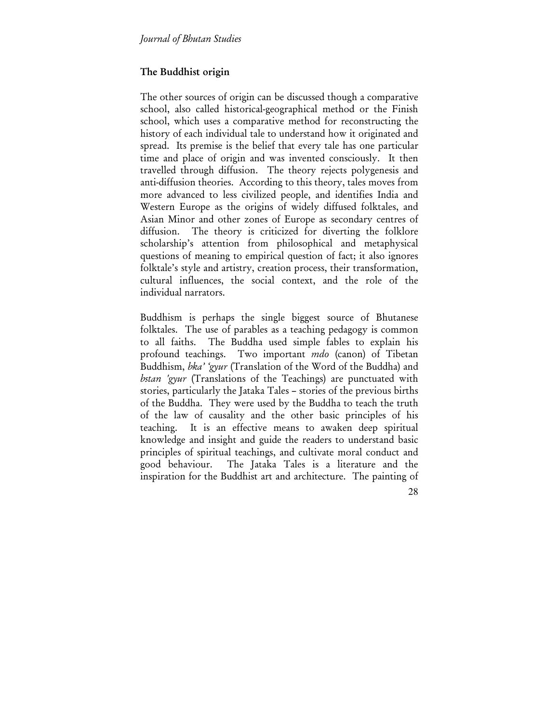## The Buddhist origin

The other sources of origin can be discussed though a comparative school, also called historical-geographical method or the Finish school, which uses a comparative method for reconstructing the history of each individual tale to understand how it originated and spread. Its premise is the belief that every tale has one particular time and place of origin and was invented consciously. It then travelled through diffusion. The theory rejects polygenesis and anti-diffusion theories. According to this theory, tales moves from more advanced to less civilized people, and identifies India and Western Europe as the origins of widely diffused folktales, and Asian Minor and other zones of Europe as secondary centres of diffusion. The theory is criticized for diverting the folklore scholarship's attention from philosophical and metaphysical questions of meaning to empirical question of fact; it also ignores folktale's style and artistry, creation process, their transformation, cultural influences, the social context, and the role of the individual narrators.

Buddhism is perhaps the single biggest source of Bhutanese folktales. The use of parables as a teaching pedagogy is common to all faiths. The Buddha used simple fables to explain his profound teachings. Two important *mdo* (canon) of Tibetan Buddhism, *bka' 'gyur* (Translation of the Word of the Buddha) and *bstan 'gyur* (Translations of the Teachings) are punctuated with stories, particularly the Jataka Tales – stories of the previous births of the Buddha. They were used by the Buddha to teach the truth of the law of causality and the other basic principles of his teaching. It is an effective means to awaken deep spiritual knowledge and insight and guide the readers to understand basic principles of spiritual teachings, and cultivate moral conduct and good behaviour. The Jataka Tales is a literature and the inspiration for the Buddhist art and architecture. The painting of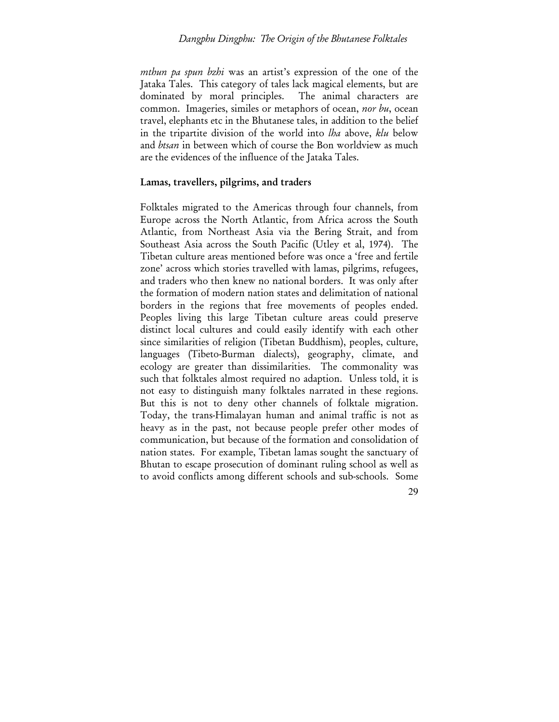#### *Dangphu Dingphu: The Origin of the Bhutanese Folktales*

*mthun pa spun bzhi* was an artist's expression of the one of the Jataka Tales. This category of tales lack magical elements, but are dominated by moral principles. The animal characters are common. Imageries, similes or metaphors of ocean, *nor bu*, ocean travel, elephants etc in the Bhutanese tales, in addition to the belief in the tripartite division of the world into *lha* above, *klu* below and *btsan* in between which of course the Bon worldview as much are the evidences of the influence of the Jataka Tales.

#### Lamas, travellers, pilgrims, and traders

Folktales migrated to the Americas through four channels, from Europe across the North Atlantic, from Africa across the South Atlantic, from Northeast Asia via the Bering Strait, and from Southeast Asia across the South Pacific (Utley et al, 1974). The Tibetan culture areas mentioned before was once a 'free and fertile zone' across which stories travelled with lamas, pilgrims, refugees, and traders who then knew no national borders. It was only after the formation of modern nation states and delimitation of national borders in the regions that free movements of peoples ended. Peoples living this large Tibetan culture areas could preserve distinct local cultures and could easily identify with each other since similarities of religion (Tibetan Buddhism), peoples, culture, languages (Tibeto-Burman dialects), geography, climate, and ecology are greater than dissimilarities. The commonality was such that folktales almost required no adaption. Unless told, it is not easy to distinguish many folktales narrated in these regions. But this is not to deny other channels of folktale migration. Today, the trans-Himalayan human and animal traffic is not as heavy as in the past, not because people prefer other modes of communication, but because of the formation and consolidation of nation states. For example, Tibetan lamas sought the sanctuary of Bhutan to escape prosecution of dominant ruling school as well as to avoid conflicts among different schools and sub-schools. Some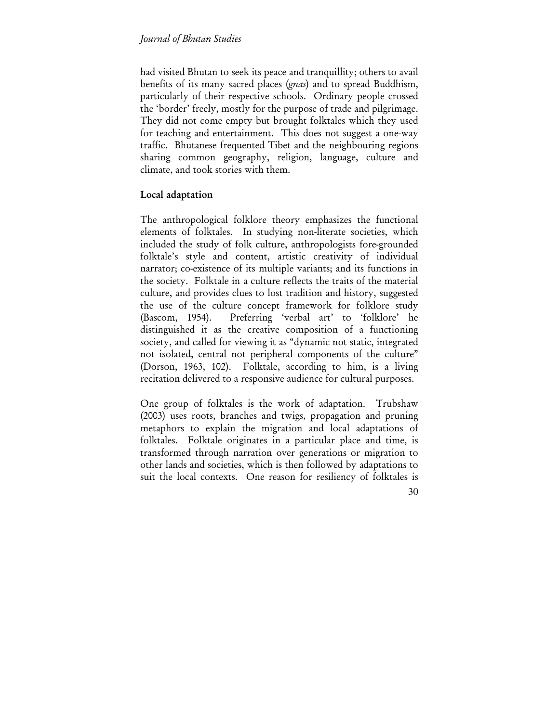had visited Bhutan to seek its peace and tranquillity; others to avail benefits of its many sacred places (*gnas*) and to spread Buddhism, particularly of their respective schools. Ordinary people crossed the 'border' freely, mostly for the purpose of trade and pilgrimage. They did not come empty but brought folktales which they used for teaching and entertainment. This does not suggest a one-way traffic. Bhutanese frequented Tibet and the neighbouring regions sharing common geography, religion, language, culture and climate, and took stories with them.

# Local adaptation

The anthropological folklore theory emphasizes the functional elements of folktales. In studying non-literate societies, which included the study of folk culture, anthropologists fore-grounded folktale's style and content, artistic creativity of individual narrator; co-existence of its multiple variants; and its functions in the society. Folktale in a culture reflects the traits of the material culture, and provides clues to lost tradition and history, suggested the use of the culture concept framework for folklore study (Bascom, 1954). Preferring 'verbal art' to 'folklore' he distinguished it as the creative composition of a functioning society, and called for viewing it as "dynamic not static, integrated not isolated, central not peripheral components of the culture" (Dorson, 1963, 102). Folktale, according to him, is a living recitation delivered to a responsive audience for cultural purposes.

One group of folktales is the work of adaptation. Trubshaw (2003) uses roots, branches and twigs, propagation and pruning metaphors to explain the migration and local adaptations of folktales. Folktale originates in a particular place and time, is transformed through narration over generations or migration to other lands and societies, which is then followed by adaptations to suit the local contexts. One reason for resiliency of folktales is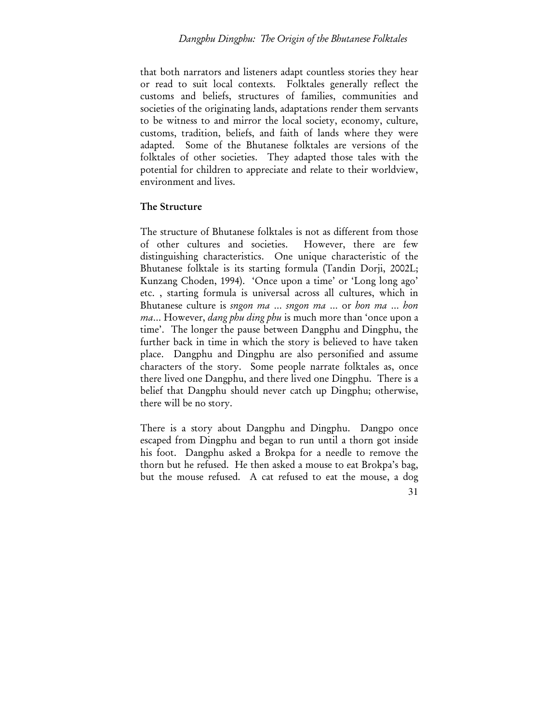that both narrators and listeners adapt countless stories they hear or read to suit local contexts. Folktales generally reflect the customs and beliefs, structures of families, communities and societies of the originating lands, adaptations render them servants to be witness to and mirror the local society, economy, culture, customs, tradition, beliefs, and faith of lands where they were adapted. Some of the Bhutanese folktales are versions of the folktales of other societies. They adapted those tales with the potential for children to appreciate and relate to their worldview, environment and lives.

## The Structure

The structure of Bhutanese folktales is not as different from those of other cultures and societies. However, there are few distinguishing characteristics. One unique characteristic of the Bhutanese folktale is its starting formula (Tandin Dorji, 2002L; Kunzang Choden, 1994). 'Once upon a time' or 'Long long ago' etc. , starting formula is universal across all cultures, which in Bhutanese culture is *sngon ma* … *sngon ma* … or *hon ma* … *hon ma*… However, *dang phu ding phu* is much more than 'once upon a time'. The longer the pause between Dangphu and Dingphu, the further back in time in which the story is believed to have taken place. Dangphu and Dingphu are also personified and assume characters of the story. Some people narrate folktales as, once there lived one Dangphu, and there lived one Dingphu. There is a belief that Dangphu should never catch up Dingphu; otherwise, there will be no story.

31 There is a story about Dangphu and Dingphu. Dangpo once escaped from Dingphu and began to run until a thorn got inside his foot. Dangphu asked a Brokpa for a needle to remove the thorn but he refused. He then asked a mouse to eat Brokpa's bag, but the mouse refused. A cat refused to eat the mouse, a dog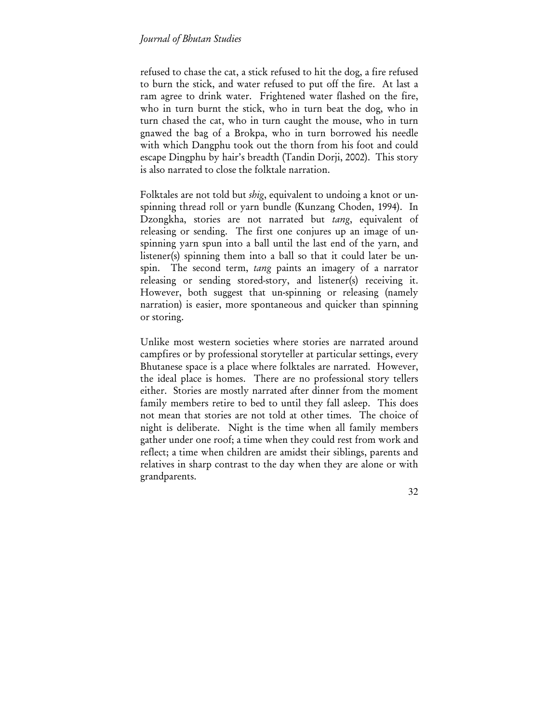refused to chase the cat, a stick refused to hit the dog, a fire refused to burn the stick, and water refused to put off the fire. At last a ram agree to drink water. Frightened water flashed on the fire, who in turn burnt the stick, who in turn beat the dog, who in turn chased the cat, who in turn caught the mouse, who in turn gnawed the bag of a Brokpa, who in turn borrowed his needle with which Dangphu took out the thorn from his foot and could escape Dingphu by hair's breadth (Tandin Dorji, 2002). This story is also narrated to close the folktale narration.

Folktales are not told but *shig*, equivalent to undoing a knot or unspinning thread roll or yarn bundle (Kunzang Choden, 1994). In Dzongkha, stories are not narrated but *tang*, equivalent of releasing or sending. The first one conjures up an image of unspinning yarn spun into a ball until the last end of the yarn, and listener(s) spinning them into a ball so that it could later be unspin. The second term, *tang* paints an imagery of a narrator releasing or sending stored-story, and listener(s) receiving it. However, both suggest that un-spinning or releasing (namely narration) is easier, more spontaneous and quicker than spinning or storing.

Unlike most western societies where stories are narrated around campfires or by professional storyteller at particular settings, every Bhutanese space is a place where folktales are narrated. However, the ideal place is homes. There are no professional story tellers either. Stories are mostly narrated after dinner from the moment family members retire to bed to until they fall asleep. This does not mean that stories are not told at other times. The choice of night is deliberate. Night is the time when all family members gather under one roof; a time when they could rest from work and reflect; a time when children are amidst their siblings, parents and relatives in sharp contrast to the day when they are alone or with grandparents.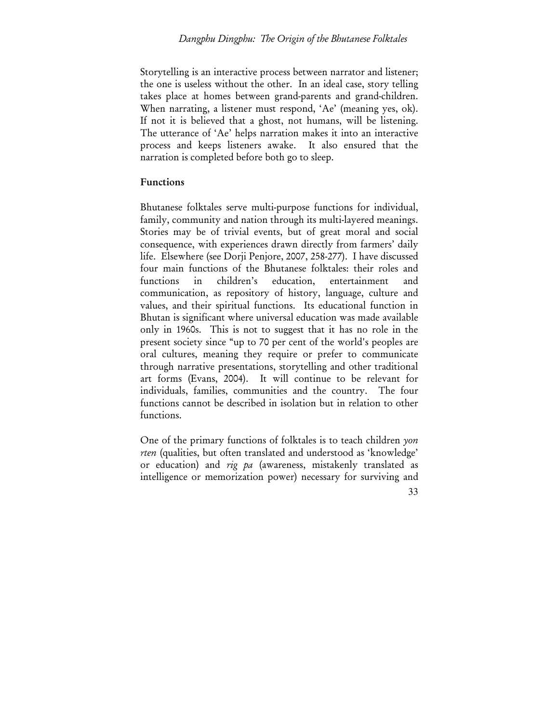Storytelling is an interactive process between narrator and listener; the one is useless without the other. In an ideal case, story telling takes place at homes between grand-parents and grand-children. When narrating, a listener must respond, 'Ae' (meaning yes, ok). If not it is believed that a ghost, not humans, will be listening. The utterance of 'Ae' helps narration makes it into an interactive process and keeps listeners awake. It also ensured that the narration is completed before both go to sleep.

#### Functions

Bhutanese folktales serve multi-purpose functions for individual, family, community and nation through its multi-layered meanings. Stories may be of trivial events, but of great moral and social consequence, with experiences drawn directly from farmers' daily life. Elsewhere (see Dorji Penjore, 2007, 258-277). I have discussed four main functions of the Bhutanese folktales: their roles and functions in children's education, entertainment and communication, as repository of history, language, culture and values, and their spiritual functions. Its educational function in Bhutan is significant where universal education was made available only in 1960s. This is not to suggest that it has no role in the present society since "up to 70 per cent of the world's peoples are oral cultures, meaning they require or prefer to communicate through narrative presentations, storytelling and other traditional art forms (Evans, 2004). It will continue to be relevant for individuals, families, communities and the country. The four functions cannot be described in isolation but in relation to other functions.

One of the primary functions of folktales is to teach children *yon rten* (qualities, but often translated and understood as 'knowledge' or education) and *rig pa* (awareness, mistakenly translated as intelligence or memorization power) necessary for surviving and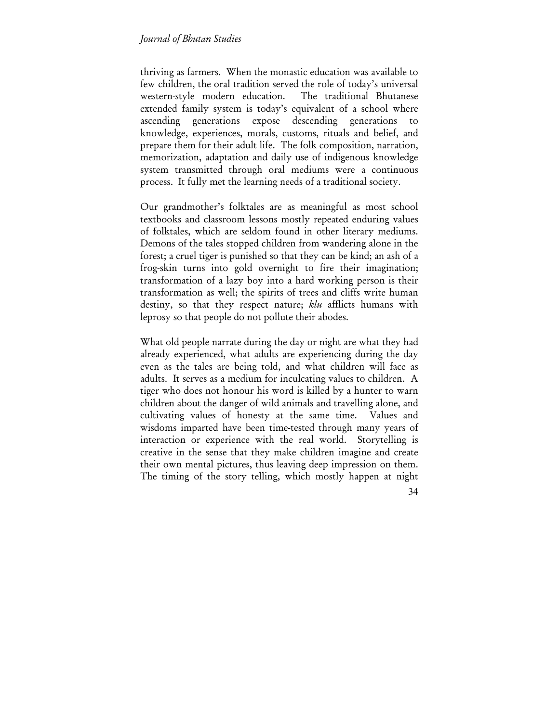thriving as farmers. When the monastic education was available to few children, the oral tradition served the role of today's universal western-style modern education. The traditional Bhutanese extended family system is today's equivalent of a school where ascending generations expose descending generations to knowledge, experiences, morals, customs, rituals and belief, and prepare them for their adult life. The folk composition, narration, memorization, adaptation and daily use of indigenous knowledge system transmitted through oral mediums were a continuous process. It fully met the learning needs of a traditional society.

Our grandmother's folktales are as meaningful as most school textbooks and classroom lessons mostly repeated enduring values of folktales, which are seldom found in other literary mediums. Demons of the tales stopped children from wandering alone in the forest; a cruel tiger is punished so that they can be kind; an ash of a frog-skin turns into gold overnight to fire their imagination; transformation of a lazy boy into a hard working person is their transformation as well; the spirits of trees and cliffs write human destiny, so that they respect nature; *klu* afflicts humans with leprosy so that people do not pollute their abodes.

What old people narrate during the day or night are what they had already experienced, what adults are experiencing during the day even as the tales are being told, and what children will face as adults. It serves as a medium for inculcating values to children. A tiger who does not honour his word is killed by a hunter to warn children about the danger of wild animals and travelling alone, and cultivating values of honesty at the same time. Values and wisdoms imparted have been time-tested through many years of interaction or experience with the real world. Storytelling is creative in the sense that they make children imagine and create their own mental pictures, thus leaving deep impression on them. The timing of the story telling, which mostly happen at night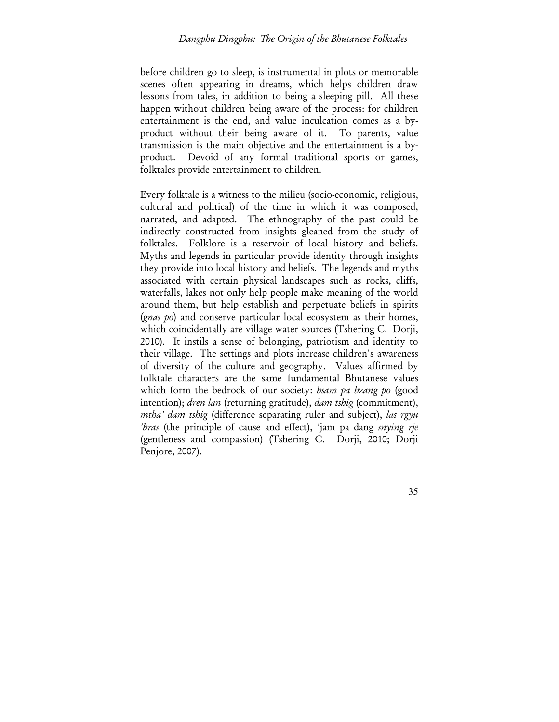before children go to sleep, is instrumental in plots or memorable scenes often appearing in dreams, which helps children draw lessons from tales, in addition to being a sleeping pill. All these happen without children being aware of the process: for children entertainment is the end, and value inculcation comes as a byproduct without their being aware of it. To parents, value transmission is the main objective and the entertainment is a byproduct. Devoid of any formal traditional sports or games, folktales provide entertainment to children.

Every folktale is a witness to the milieu (socio-economic, religious, cultural and political) of the time in which it was composed, narrated, and adapted. The ethnography of the past could be indirectly constructed from insights gleaned from the study of folktales. Folklore is a reservoir of local history and beliefs. Myths and legends in particular provide identity through insights they provide into local history and beliefs. The legends and myths associated with certain physical landscapes such as rocks, cliffs, waterfalls, lakes not only help people make meaning of the world around them, but help establish and perpetuate beliefs in spirits (*gnas po*) and conserve particular local ecosystem as their homes, which coincidentally are village water sources (Tshering C. Dorji, 2010). It instils a sense of belonging, patriotism and identity to their village. The settings and plots increase children's awareness of diversity of the culture and geography. Values affirmed by folktale characters are the same fundamental Bhutanese values which form the bedrock of our society: *bsam pa bzang po* (good intention); *dren lan* (returning gratitude), *dam tshig* (commitment), *mtha' dam tshig* (difference separating ruler and subject), *las rgyu 'bras* (the principle of cause and effect), 'jam pa dang *snying rje* (gentleness and compassion) (Tshering C. Dorji, 2010; Dorji Penjore, 2007).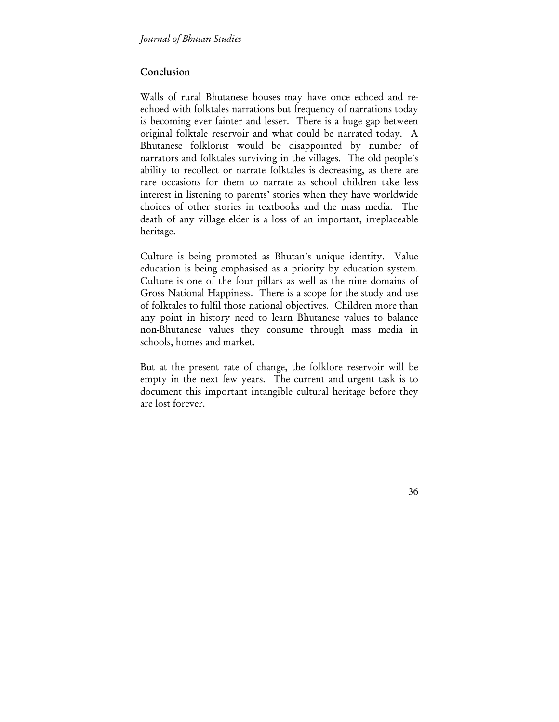### Conclusion

Walls of rural Bhutanese houses may have once echoed and reechoed with folktales narrations but frequency of narrations today is becoming ever fainter and lesser. There is a huge gap between original folktale reservoir and what could be narrated today. A Bhutanese folklorist would be disappointed by number of narrators and folktales surviving in the villages. The old people's ability to recollect or narrate folktales is decreasing, as there are rare occasions for them to narrate as school children take less interest in listening to parents' stories when they have worldwide choices of other stories in textbooks and the mass media. The death of any village elder is a loss of an important, irreplaceable heritage.

Culture is being promoted as Bhutan's unique identity. Value education is being emphasised as a priority by education system. Culture is one of the four pillars as well as the nine domains of Gross National Happiness. There is a scope for the study and use of folktales to fulfil those national objectives. Children more than any point in history need to learn Bhutanese values to balance non-Bhutanese values they consume through mass media in schools, homes and market.

But at the present rate of change, the folklore reservoir will be empty in the next few years. The current and urgent task is to document this important intangible cultural heritage before they are lost forever.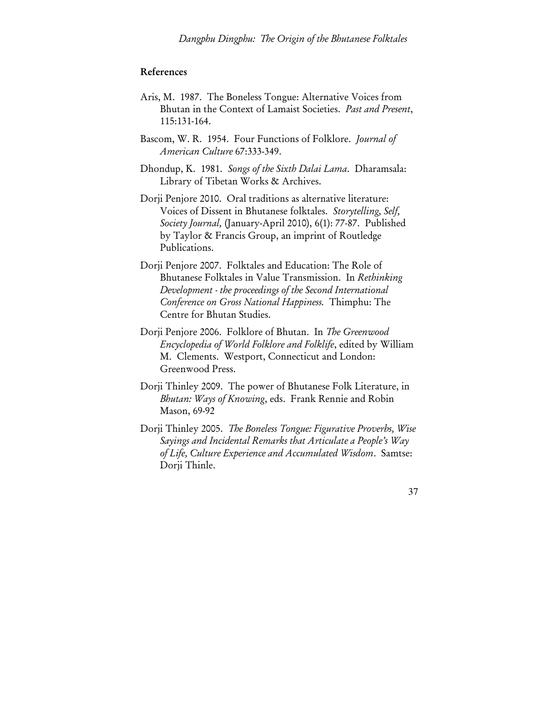#### References

- Aris, M. 1987. The Boneless Tongue: Alternative Voices from Bhutan in the Context of Lamaist Societies. *Past and Present*, 115:131-164.
- Bascom, W. R. 1954. Four Functions of Folklore. *Journal of American Culture* 67:333-349.
- Dhondup, K. 1981. *Songs of the Sixth Dalai Lama*. Dharamsala: Library of Tibetan Works & Archives.
- Dorji Penjore 2010. Oral traditions as alternative literature: Voices of Dissent in Bhutanese folktales. *Storytelling, Self, Society Journal,* (January-April 2010), 6(1): 77-87. Published by Taylor & Francis Group, an imprint of Routledge Publications.
- Dorji Penjore 2007. Folktales and Education: The Role of Bhutanese Folktales in Value Transmission. In *Rethinking Development - the proceedings of the Second International Conference on Gross National Happiness.* Thimphu: The Centre for Bhutan Studies.
- Dorji Penjore 2006. Folklore of Bhutan. In *The Greenwood Encyclopedia of World Folklore and Folklife*, edited by William M. Clements. Westport, Connecticut and London: Greenwood Press.
- Dorji Thinley 2009. The power of Bhutanese Folk Literature, in *Bhutan: Ways of Knowing*, eds. Frank Rennie and Robin Mason, 69-92
- Dorji Thinley 2005. *The Boneless Tongue: Figurative Proverbs, Wise Sayings and Incidental Remarks that Articulate a People's Way of Life, Culture Experience and Accumulated Wisdom*. Samtse: Dorji Thinle.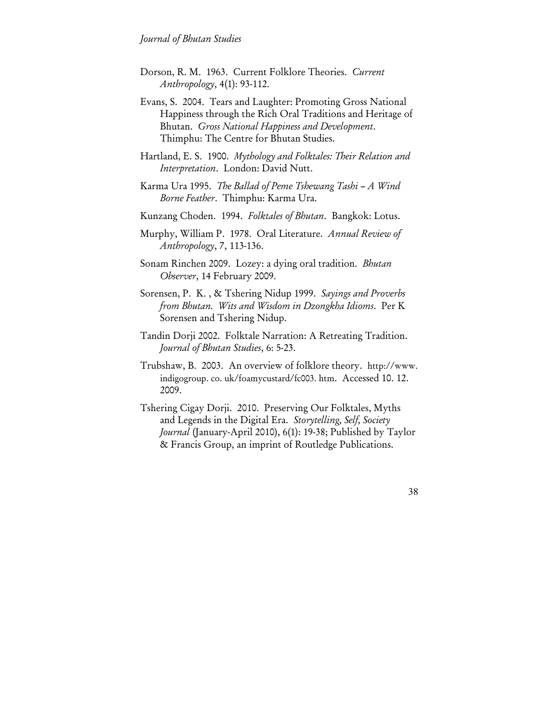- Dorson, R. M. 1963. Current Folklore Theories. *Current Anthropology*, 4(1): 93-112.
- Evans, S. 2004. Tears and Laughter: Promoting Gross National Happiness through the Rich Oral Traditions and Heritage of Bhutan. *Gross National Happiness and Development*. Thimphu: The Centre for Bhutan Studies.
- Hartland, E. S. 1900. *Mythology and Folktales: Their Relation and Interpretation*. London: David Nutt.
- Karma Ura 1995. *The Ballad of Peme Tshewang Tashi A Wind Borne Feather*. Thimphu: Karma Ura.
- Kunzang Choden. 1994. *Folktales of Bhutan*. Bangkok: Lotus.
- Murphy, William P. 1978. Oral Literature. *Annual Review of Anthropology*, 7, 113-136.
- Sonam Rinchen 2009. Lozey: a dying oral tradition. *Bhutan Observer*, 14 February 2009.
- Sorensen, P. K. , & Tshering Nidup 1999. *Sayings and Proverbs from Bhutan. Wits and Wisdom in Dzongkha Idioms*. Per K Sorensen and Tshering Nidup.
- Tandin Dorji 2002. Folktale Narration: A Retreating Tradition. *Journal of Bhutan Studies*, 6: 5-23.
- Trubshaw, B. 2003. An overview of folklore theory. http://www. indigogroup. co. uk/foamycustard/fc003. htm. Accessed 10. 12. 2009.
- Tshering Cigay Dorji. 2010. Preserving Our Folktales, Myths and Legends in the Digital Era. *Storytelling, Self, Society Journal* (January-April 2010), 6(1): 19-38; Published by Taylor & Francis Group, an imprint of Routledge Publications.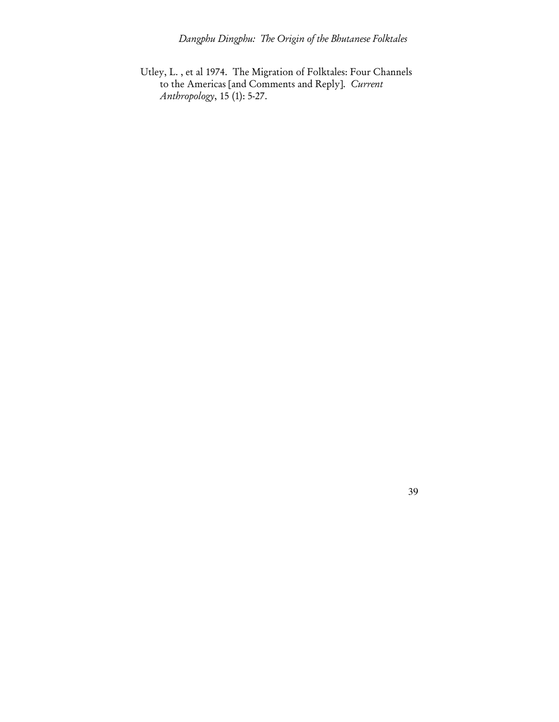Utley, L. , et al 1974. The Migration of Folktales: Four Channels to the Americas [and Comments and Reply]. *Current Anthropology*, 15 (1): 5-27.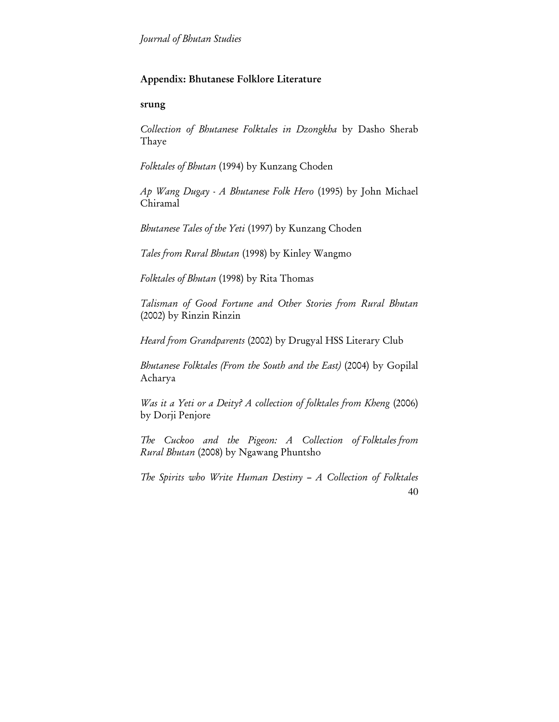# Appendix: Bhutanese Folklore Literature

## srung

*Collection of Bhutanese Folktales in Dzongkha* by Dasho Sherab Thaye

*Folktales of Bhutan* (1994) by Kunzang Choden

*Ap Wang Dugay - A Bhutanese Folk Hero* (1995) by John Michael Chiramal

*Bhutanese Tales of the Yeti* (1997) by Kunzang Choden

*Tales from Rural Bhutan* (1998) by Kinley Wangmo

*Folktales of Bhutan* (1998) by Rita Thomas

*Talisman of Good Fortune and Other Stories from Rural Bhutan* (2002) by Rinzin Rinzin

*Heard from Grandparents* (2002) by Drugyal HSS Literary Club

*Bhutanese Folktales (From the South and the East)* (2004) by Gopilal Acharya

*Was it a Yeti or a Deity? A collection of folktales from Kheng* (2006) by Dorji Penjore

*The Cuckoo and the Pigeon: A Collection of Folktales from Rural Bhutan* (2008) by Ngawang Phuntsho

40 *The Spirits who Write Human Destiny – A Collection of Folktales*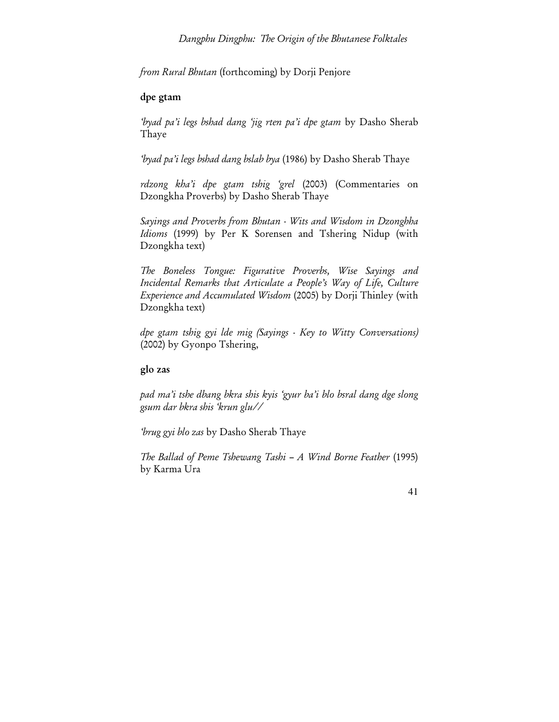*from Rural Bhutan* (forthcoming) by Dorji Penjore

## dpe gtam

*'byad pa'i legs bshad dang 'jig rten pa'i dpe gtam* by Dasho Sherab Thaye

*'byad pa'i legs bshad dang bslab bya* (1986) by Dasho Sherab Thaye

*rdzong kha'i dpe gtam tshig 'grel* (2003) (Commentaries on Dzongkha Proverbs) by Dasho Sherab Thaye

*Sayings and Proverbs from Bhutan - Wits and Wisdom in Dzonghha Idioms* (1999) by Per K Sorensen and Tshering Nidup (with Dzongkha text)

*The Boneless Tongue: Figurative Proverbs, Wise Sayings and Incidental Remarks that Articulate a People's Way of Life, Culture Experience and Accumulated Wisdom* (2005) by Dorji Thinley (with Dzongkha text)

*dpe gtam tshig gyi lde mig (Sayings - Key to Witty Conversations)* (2002) by Gyonpo Tshering,

## glo zas

*pad ma'i tshe dbang bkra shis kyis 'gyur ba'i blo bsral dang dge slong gsum dar bkra shis 'krun glu//* 

*'brug gyi blo zas* by Dasho Sherab Thaye

*The Ballad of Peme Tshewang Tashi – A Wind Borne Feather* (1995) by Karma Ura